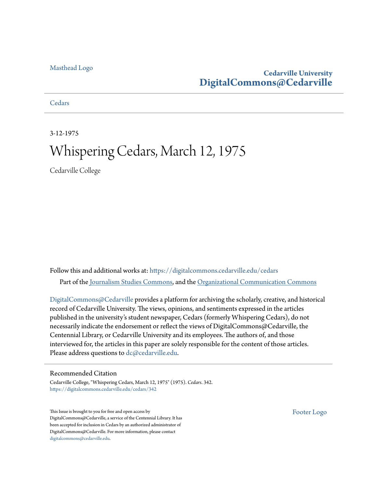#### [Masthead Logo](http://www.cedarville.edu/?utm_source=digitalcommons.cedarville.edu%2Fcedars%2F342&utm_medium=PDF&utm_campaign=PDFCoverPages)

### **Cedarville University [DigitalCommons@Cedarville](https://digitalcommons.cedarville.edu?utm_source=digitalcommons.cedarville.edu%2Fcedars%2F342&utm_medium=PDF&utm_campaign=PDFCoverPages)**

**[Cedars](https://digitalcommons.cedarville.edu/cedars?utm_source=digitalcommons.cedarville.edu%2Fcedars%2F342&utm_medium=PDF&utm_campaign=PDFCoverPages)** 

3-12-1975

## Whispering Cedars, March 12, 1975

Cedarville College

Follow this and additional works at: [https://digitalcommons.cedarville.edu/cedars](https://digitalcommons.cedarville.edu/cedars?utm_source=digitalcommons.cedarville.edu%2Fcedars%2F342&utm_medium=PDF&utm_campaign=PDFCoverPages) Part of the [Journalism Studies Commons](http://network.bepress.com/hgg/discipline/333?utm_source=digitalcommons.cedarville.edu%2Fcedars%2F342&utm_medium=PDF&utm_campaign=PDFCoverPages), and the [Organizational Communication Commons](http://network.bepress.com/hgg/discipline/335?utm_source=digitalcommons.cedarville.edu%2Fcedars%2F342&utm_medium=PDF&utm_campaign=PDFCoverPages)

[DigitalCommons@Cedarville](http://digitalcommons.cedarville.edu/) provides a platform for archiving the scholarly, creative, and historical record of Cedarville University. The views, opinions, and sentiments expressed in the articles published in the university's student newspaper, Cedars (formerly Whispering Cedars), do not necessarily indicate the endorsement or reflect the views of DigitalCommons@Cedarville, the Centennial Library, or Cedarville University and its employees. The authors of, and those interviewed for, the articles in this paper are solely responsible for the content of those articles. Please address questions to [dc@cedarville.edu.](mailto:dc@cedarville.edu)

#### Recommended Citation

Cedarville College, "Whispering Cedars, March 12, 1975" (1975). *Cedars*. 342. [https://digitalcommons.cedarville.edu/cedars/342](https://digitalcommons.cedarville.edu/cedars/342?utm_source=digitalcommons.cedarville.edu%2Fcedars%2F342&utm_medium=PDF&utm_campaign=PDFCoverPages)

This Issue is brought to you for free and open access by DigitalCommons@Cedarville, a service of the Centennial Library. It has been accepted for inclusion in Cedars by an authorized administrator of DigitalCommons@Cedarville. For more information, please contact [digitalcommons@cedarville.edu](mailto:digitalcommons@cedarville.edu).

[Footer Logo](http://www.cedarville.edu/Academics/Library.aspx?utm_source=digitalcommons.cedarville.edu%2Fcedars%2F342&utm_medium=PDF&utm_campaign=PDFCoverPages)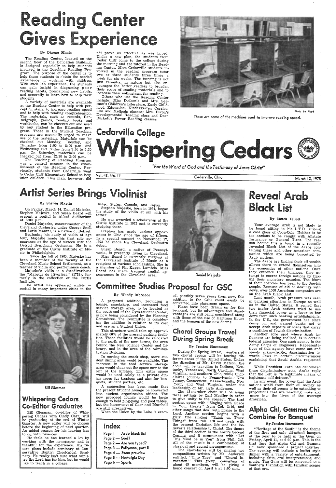# ing Cent ives Experid

#### By Dianne Monts

The Reading Center, located on the second floor of the Education Building, is designed especially to help students involved in the Teaching Reading Program. The purpose of the center is to help these students to obtain the needed experience in working with children. With such lab experience, the students can gain insight in diagnosing poor reading habits, prescribing new habits, and generally to learn how to help their students.

 A variety of materials are available at the Reading Center to help with per-<br>ception skills, to increase reading speed and to help with reading comprehension. The materials, such as records, flannelgraph, games, reading books and workbooks, can be checked out and used by any student in the Education program. Those in the Student Teaching program are especially urged to make use of the materials. Materials can be checked out Monday, Tuesday, and Thursday from 3:00 to 8:00 p.m. and Wednesday and Friday from 3 :00 to 5 :30 p.m. On Saturday, materials can be checked out from 12:30 to 3:00 p.m.

Others who use the Reading Center include: Miss Dodson's' and Mrs. Seaman's Children's Literature, Early Childhood Education, Kindergarten Curriculum and Methods classes; Mrs. Dixon's Developmental Reading class and Dean Burkett's Power Reading classes.

# Cedarville College Whispering Gedars (@)

The Teaching of Readiing Program was a central concern in the establishment of the Reading Center. Previously, students from Cedarville went to Cedar Cliff Elementary School to help tutor children. This plan, however, did

Stephen Majeske, and Susan Beard will<br>present a recital in Alford Auditorium at 8:00 p.m.

Beginning his study of violin at age four, Majeske made his first solo appearance at the age of sixteen with the Detroit .Symphony Orchestra. He is <sup>a</sup> graduate of the Curtis Institute of Music in Philadelphia.

not prove as effective as was hoped. Under a new plan, the students from Cedar Cliff come to the college during the morning and are tutored in the Reading Center. Most Cedarville students involved in the reading program tutor two or three students three times a week for six weeks. The tutoring is not just remedial in nature but also encourages the better .readers to broaden their scope of reading materials and to increase their enthusiasm for reading.



Photo by Floyd

These are some of the machines used to improve reading speed.

Miss Beard is currently studying at the Cleveland Institute of Music as a recipient of various scholarships. She is <sup>a</sup>member of Phi Kappa Lambda. Miss Beard has made frequent recital appearances in the Cleveland area. Daniel Majeske

# By Sheree Martin United States, Canada, and Japan.<br>On Friday, March 14, Daniel Majeske, Stephen Majeske, born in 1954, began **1954, bearm 1954, beard will be also a**<br>Stephen Majeske, and Susan Beard will father the violin

*"For the Word of God and the T esfimony* of Je,sus *Chris+"* 

Vol. 43, No. <sup>11</sup>Cedarville, Ohio March 12, <sup>1975</sup>

## Artist Series Brings Violinist

A proposed addition, providing a lounge, snackshop, and increased food service storage area, to be located at the south end of the Gym-Student Center, is now being considered by the Planning Committee. The Committee is considering the addition in relation to its cost and use as a Student Union.

Daniel Majecke, concertmaster of the Cleveland Orchestra under George Snell and Lorin Maazel, is a native of Detroit.

Since the fall of 1965, Majeske has been a member of the faculty of the Cleveland Music School Settlement, as <sup>a</sup> teacher of violin and performance coach.

Majeske's violin is a Stradivarious: the "Marquis de Riveriera" (1718), formerly in the collection of the Curtis Institute.

> During. the Spring Break, members of two choral groups will be touring different areas of the United States. Under the direction of Mr. David Matson, the .choir will be traveling to Indiana, Kentucky, Tennessee, North Carolina, West Virginia, and southern Ohio, while Choralaires journey to Pennsylvania, New Jersey, Connecticut, Massachusetts, New Your, and West Virginia, under the leadership of Mr. Lyle Anderson. The 48-member choir will be using three settings by Carl Meuller in order to. give unity to the concert. The first section opens with "Singing with Grace in Your Hearts" from Col. 3: 16, and other songs that deal with praise to the Lord. Another section begins with <sup>a</sup> girls' trio singing "Think on These Things" from Phil. 4:8 and deals with the present Christian life and the believer's relationship to Christ. The theme of the third section is the Lord's Second Coming and it commences with "Let This Mind be in You" from Phil. 2:5. All of the music is a combination of classical and sacred arrangements. The Choralaires will be singing two compositions written by Mr. Anderson entitled, "Unto Thee" and "Choral Invocation." This group, consisting of about 45 members, will be giving a<br>home concert on April 4 at 8:00 p.m.

# **Reveal Arab**

The artist has appeared widely in recital in many important cities in the



Bill Giesman

## Whispering Cedars Co-Editor Graduates

Bill Giesman, co-editor of Whispering Cedars with Cindy Carr, will be graduating at the end of Winter Quarter. A new editor will be chosen before the beginning of next quarter. An added reason for his leaving has to do with finances.

 · He feels he has learned a lot by working with the newspaper and is thankful for the experience. His future plans include seminary at Conservative Baptist Theological Seminary. He really isn't sure what ministry the Lord has for him, but he would like to teach in a college.

. Stephen Majeske, born in 1954, began his study of the violin at six with his father.

He was awarded a scholarship at the Curtis Institute in 1972 and is currently studying there.

Stephen has made various appearances in Ohio since the age of fifteen. In a special concert on November 27, 1973 he made his Cleveland Orchestra debut.

Susan Beard, a native of Pennsyl vania, is presently living in Cleveland.

## Committee Studies Proposal for GSC

While President Ford has denounced these discriminatory acts, Arabs reply that the List is "a legitimate means of legitimate self-defense."

#### By Wendy McNiece

"Heritage of the South" is the theme of the first and only all-school banquet Friday, April 11, at 6:30 p.m. This is the first time that Alpha Chi and Gamma<br>Chi have sponsored a project together. The evening will include a buffet style dinner with a variety of entertainment. including skits, oral interpretations, and music. The Gym will be converted to a Southern Plantation with familiar scenes of that era.

This structure would take up approxi mately 60% of the present parking facilities. These facilities would be relocated to the north of the new dorms, the area behind the New Science Center and Library, and in the area of the Administration Building.

In. moving the snack shop, more stu-

dent dining area would be available. The increase in the food service storage area would clear out the space now to the left of the kitchen. This extra space would be used solely as a private dining room for trustees and also for banquets, student parties, etc.

A suggestion has been made that the present Student Lounge be converted into student organization offices. The new proposed lounge would be large enough to hold ping-pong and pool tables, but the basements of Carr and Marshall are still alternatives.

When the Union by the Lake *is* erect-

### Index

Page I - Arab black list Page 2 - God? Page  $2 -$  Are you typed? Page 3 - Pollyanna, part II Page  $4 -$  Exam pre-view Page 5 - Nostalgia Day Page 6 - Sports

ed, possibly seven years from now, this addition to the GSC could easily be converted into classroom space.

Plans have been drawn up for this proposal, but its advantages and disadvantages are still being considered along with those of the use of Hartman House and the lounges of the new dorms.

## Choral Groups Travel During Spring Break

#### By Jessica Huesmann

#### By Chuck Elliott

Your average Arab is not likely to be found sitting in his L.T;D. sipping a cool glass of Coca-Cola. Neither is he too anxious to be caught with Allstate Insurance or General Tires. The reason behind this is found in a recently revealed Black List of the Arabs containing these and other American companies which are being boycotted by Arab nations.

 The Arabs are finding their oil wealth allows them to extend themselves into the economics of other nations. Once they entrench their finances, they attempt to coerce foreign nations by flexing their monetary muscles. The blunt of their coercion has been to the Jewish people. Because of aid or dealings with Jews, over 1500 American companies are on the Arab Black List.

 Last month, Arab pressure was seen in banking situations in Europe as well as in the United States. It semed. that two major Arab nations tried to use their financial power as a lever to bar Jews from such banking establishments. In the U.S., the government has since come out and warned banks not to accept Arab deposits or loans that carry a condition of Jewish discrimination.

Another sore spot where Arab influences are being realized, is in certain federal agencies. One such agency is the Army Corps of Engineers. Representa tives of this agency have come out and openly acknowledged discrimination towards Jews in certain circumstances

explaining that Saudi Arabia requested it.

In any event, the power that the Arab nations wield from their oil money as well as their oil seems to be extending to proportions that are reaching more and more into the lives of the average American.

## Alpha Chi, Gamma Chi \_Combine for Banquet

#### By Jessica Huesmann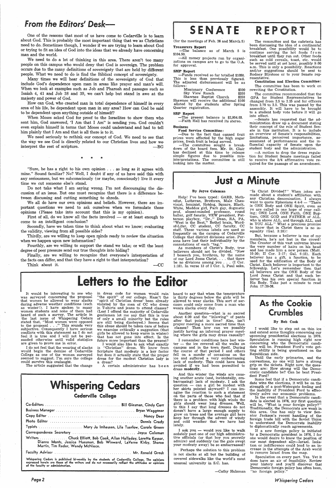## $From the Editor's Desk$

One of the reasons that most of us have come to Cedarville is to learn about God. This is probably the most important thing that we 'as Christians need to do. Sometimes though, I wonder if we are trying to learn about God or trying to fit an idea of God into the ideas that we already have concerning man and the world.

Many times we will hear definitions of the sovereignty of God that include God's dependence upon man in areas like prayer and man's will. When we look at examples such as Job and Pharoah and passages such as Isaiah 4, 41 and Job 38 and 39, we can't help but stand in awe at the majesty and power of God.

We need to do a lot of thinking in this area. There aren't too many people on this campus who would deny that God is sovereign. The problem occurs due to the many definitions of sovereignty that are held by different people. What we need to do is find the Biblical concept of sovereignty.

"Sure, he has a right to his own opinion  $\ldots$  as long as it agrees with mine." Sound familiar? No? Well, I doubt if any of us have said this with any seriousness, but we subconsciously ( or maybe, consciously) live it every time we cut someone else's stand.

How can God, who created man in total dependence of himself in every area of his life, be dependent upon man in any area? How can God be said to be dependent upon anything outside of himself?

First of all, do we know all the facts involved  $-$  or at least enough to come to an intelligent conclusion?

Thirdly, are we willing to keep open minds ready to review the situation when we happen upon new information?

When Moses asked God for proof to the Israelites to show them who sent him, God answered, 'I Am that I Am" is sending you. God couldn't even explain himself in terms that Moses could understand and had to tell him plainly that I Am and that is all there is to it.

Fourthly, are we willing to support the stand we take; or will the least degree of peer pressure send our true thoughts into hiding?

We need seriously to rethink our concept of God. We need to see that the way we see God is directly related to our Christian lives and how we interpret the rest of scripture. -BG

\* \* \*

Do not take what I am saying wrong. I'm not discouraging the discussion of an issue. But one must recognize that there is a difference between discussing and cutting something to shreds.

We all do have our own opinions and beliefs. However, there are important questions we need to ask ourselves when we formulate those opinions (Please take into account that this is my opinion).

Secondly, have we taken time to think about what we know; evaluating the validity, viewing from all possible sides?

Finally, are we willing to recognize that everyone's interpretation of the facts can differ, and that they have a right to that interpretation?

Think about it.  $\hspace{2.5cm}$  -CC

## SENATE **REPORT**

**Just a Minute** 

-All money projects ran by organizations on campus are to go to the O.A. for approval.

Sky View Ranch \$350<br>Shawnee Baptist Church \$250 Shawnee Baptist Church Shawnee will receive the additional \$100 alloted by the students after Spring Quarter registration.

It would be interesting to see who was surveyed concerning the proposal that women be allowed to wear slacks during adverse weather conditions (such as winter!). I have spoken to many women students and none of them had heard of such a survey. The article in the last issue of Whispering Cedars stated that, "Most women were opposed to the proposal . . ." This sounds very subjective. Consequently I have serious conflicts with this statement as I do not feel it is true and I will not be persuaded otherwise until valid statistics are given to prove me in error.

I do not feel that the wearing of slacks would begin the demise of Oedarville College as one of the women surveyed suggest. I'm sure the college could survive this onslaught.

The article suggested that the change

in dress code for women would rum 'the spirit" of our college. Hasn't the "spirit of Christian dress' been already violated by the men of CC who dress in T-shirts and jeans to attend classes? (Lest I offend the majority of Cedarville gentlemen let me say that this is true of only a small minority but the rules are still being disobeyed.) Seems that this abuse should be taken care of before we examine critically a suggestion (that girls be allowed to keep warm in winter) that has not gone into effect. Is the future more important than the present?

<sup>I</sup>would also like to ask what exactly "Christian" dress. We know from Scripture that modesty is a key factor but does it actually state that the proper

> I ask you - would you like to walk sedately past one of our high administrative officials (or that boy you secretly admire) and suddenly (as the gale swep<sup>t</sup> your modesty away) be so embarrassed?

dress for the modest Christian lady is <sup>a</sup>dress?

A certain administrator has been

## **Whispering Cedars**

Cedarville College

| Typists  Mary Jo Imhausen, Lila Tuerlow, Carole Green                                                                                                                       |  |
|-----------------------------------------------------------------------------------------------------------------------------------------------------------------------------|--|
|                                                                                                                                                                             |  |
| Writers  Chuck Elliott, Bob Cook, Allan Halladay, Loretta Keysor,<br>Dianne Monts, Jessica Huesman, Bob Winward, LaVerne Kirby, Sheree<br>Martin, Tim Reder, Wendy McNiece. |  |
|                                                                                                                                                                             |  |

-Senate has requested that the administration draw up a document stating their concept of the role of Student Senate in this institution. It is to include an overview of Senate's responsibilities, limitations, perceived importance, assessment of performances and the influential capacity of Senate upon the student body and the administration.

Faculity Advisor ....................................... Mr. Ronald Grosh

Whispering Cedars is published bi-weekly by the students of Cedarville College. The opinions expressed herein are those of the writers and do not necessarily reflect the attitudes or opinions of the faculty or administrati

*Page2* 

(for the meetings of Feb. 26 and March 5)

#### Treasurers Report

-The balance as of March 5 is \$104.50.

#### SMP Report

-Funds received so far totalled \$1050. This is less than previously figured. The adjusted disbursement will be as follows:

Missionary Conference \$500<br>Sky View Ranch \$350

#### SBP Report

-The present balance is \$2,954.03. -Faith Hall has received its stereo.

#### **Business**

Food Service Committee:

-Due to the fact that canned fruit prices were affected by the high sugar prices, fresh fruit is being served.

-The committee sought a breakdown of the board fees. Mr. St. Clair has declined at this time to release simple figures due to possible misinterpretations. The committee is still looking into the matter.

## By Joyce Coleman

Help! I've been typed: GARB, Methodist, Lutheran, Brethren, Male Chauvinist, feminist, Hotdog, Square, Black, White, Maddox girl, Park guy, dogmatic prof, absent-minded professor, round baller, golf fanatic, VEW president, Patterson playboy, "Dr.," Dean, RA, PA, "West is the Best," Bethel brain, Wordof-Lifer, CC student, CC faculty, CC staff. These various labels are used so frequently on the campus of Cedarville College that district divisions arise. Persons have lost their individuality by the connotations of each "tag."

As members of Christ's Body, true believers should not be divided. "Now <sup>I</sup>beseech you, brethren, by the name of our Lord Jesus Christ, . . . that there be no divisions among you . . . (I Cor. 1: 10). In verse 13 of I Cor. 1, Paul asks,

heard to say that when the temeprature is thirty degrees below the girls will be allowed to wear slacks. This sort of sarcasm could only come from <sup>a</sup>man who wears slacks every day.

Another question-what is so sacred about 4:30 and the "inlawing" of pants after that point in time? Also, isn't prayer meeting <sup>a</sup>more sacred time than classes? Then how can we possibly justify having an informal prayer meeting where the girls may dress casually?

I remember conditions here last win $ter - the ice covered all the walks on$ campus and in the town itself. During the course of that period I and others fell on a numbr of occasions on the ice and suffered a very embarrassing lack of modesty. This could have been avoided if we had been permitted to dress modestly.

And this winter the winds are causing another acute (and, incidentally, embarrassing) lack of modesty. I ask the  $question$  - can a girl be modest with her skirts pointed skyward? I can imagine the reaction to such a statement on the parts of those who feel that if there is a problem with high winds the girls should wear long dresses. Well, to this I say that long dresses do not doesn't have a large enough supply to grow on trees and the average girl here keep her through the advent of windy and cold weather that we have had lately.

Perhaps the solution to this problem is not slacks at all but the building of covered sidewalks like the world's most unusual university in S.C. has.

-Cathy Hulsman

The committee and the cafeteria has been discussing the idea of a continental breakfast. One possibility would be to continue serving the hot foods from breakfast until they run out. Other foods such as cold cereals, toast, etc. would be served until at set hour, possibly 9 :00 a.m. This is only a possibility. Reactions and/or suggestions should be sent to Rodney Blystone or to your Senate representative.

Constitution and Election Committee: The committee has been to work on rewriting the Constitution.

The committee recommended that the GPA for Student Representatives be changed from 2.5 to 2.25 and for officers from 2.70 to 2.5. This was passed by the assembly. It will have to be brought to a student body vote before it will go into effect.

-A motion to drop the dress regulation for Student Senate meetings failed to receive the 3/4 affirmative vote re- . quired for the passage of an amendment.

"Is Christ Divided?" When jokes are made about a student's affiliation with any Christian denomination, I always want to quote Ephesians 4:4-6  $-$  ''There is ONE Body and ONE Spirit, even as ye are called in one hope of your calling; ONE Lord, ONE Faith, ONE Baptism, ONE GOD and FATHER of ALL. who is above ALL, and through ALL, and in YOU ALL." What a precious promise to know that in Christ there is no inequality (Gal. 3:28) !

But, because a believer is one of my members, he's not lost in the crowd! The Creator of this vast universe knows the very number of hairs on his head and has made him a new person (Matt. 10:30; II Cor. 2:17; Gal. 6:15). Each believer has a gift, a function, to be used for the edification of the Body of Christ. Each believer is important to the fellowship. Let's remember then that all believers are the ONE Body of the Lord Jesus Christ and that each believer "has his own special function in His Body. Take just a minute to read John 17:20-26.

## As the Cookie Crumbles

#### By Bob Cook

I would like to step out on thin ice and extend some thoughts concerning our upcoming presidential elections in 1976. Speculation is running high right now concerning who the Democratic candidate will be. President Ford's vote getting ability is being questioned on the Republican side.

Until the early primaries, and conventions, no one will have a strong grip on the tickets. Right now, the questions are: How strong will the Democratic candidate be? Can he beat President Ford? Some feel that if a Democratic candidate wins the elections, it will be on the strength of a post-Watergate feeling and the inability of President Ford to effectively solve our economic problems. In the event that a Democratic candidate is elected in 1976, my first question will be, "What is your foreign policy?" Traditionally, the Democrats are weak in this area. One has only to view Senator Jackson's recent handling of the foreign trade bill with the Soviet Union to understand the Democrats inability to diplomatically reach agreements. If <sup>a</sup>new foreign policy is initiated by a Democratic president in 1976, I for one would desire to know the position of our most dependent ally--Israel. Isolation or indifference could lead to an increase in the attempts of the Arab world to remove Israel from the map. Speculation on every part. Yes. Yet it does have an air of feasibility. Review your history and you'll discover· that Democratic foreign policy has often been, "no foreign policy."

## Letters to the Editor

*Whispering Cedars*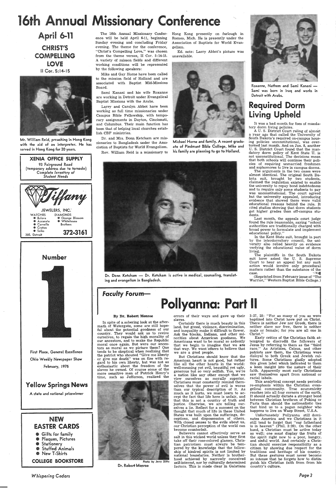## 16th Annual Missionary Conference

April 6-11 CHRIST'S COMPELLING LOVE II Cor. 5:14-15



Mr. William Reid, preaching in Hong Kong with the aid of an interpreter. He has served in Hong Kong for 20 years.



First Place, General Excellence Ohio Weekly Newspaper Show

> **6** Gifts for family **8 Plaques, Pictures 8** Stationery • Stuffed Animals • New T-Shirts

February, 1975

## Yellow Springs News

A state and national prizewinner

## NEW EASTER CARDS

COLLEGE BOOKSTORE

*Whispering Cedars* 

The 16th Annual Missionary Conference will be held April 6-11, beginning Sunday evening and concluding Friday evening. The theme for the conference, "Christ's Compelling Love," was chosen from the theme verses, II Cor. 5:14-15. A variety of misson fields and different working conditions will be represented by the following speakers:

Mike and Gay Horne have been called to the mission field of Holland and are associated with Baptist Mid-Missions Board.

Sarni Kanani and his wife Roxanne are working in Detroit under Evangelical Baptist Missions with the Arabs.

Larry and Carolyn Abbot have been working as full time missionaries under Campus Bible Fellowship, with temporary assignments in Dayton, Cincinnati, and Columbus. Their main function has been that of helping local churches establish CBF ministries.

Dr. and Mrs. Donn Ketcham are missionaries to Bangladesh under the Association of Baptists for World Evangelism. Rev. William Reid is a missionary to Hong Kong presently on furlough in Romeo, Mich. He is presently under the Association of Baptists for World Evangelism.

Ed. note: Larry Abbot's picture was unavailable.



Michael Horne and family. A recent graduate of Piedmont Bible College, Mike and his family are planning to go to Holland.



Dr. Donn Ketcham — Dr. Ketcham is active in medical, counseling, translating and evangelism in Bangladesh.



Roxanne, Nathem and Sami Kanani -Sarni was born in Iraq and works in Detroit with Araibs.

It was a bad month for foes of mandatory dorm living policies.

In spite of a sobering look at the aftermath of Watergate, some are still hopeful about the potential goodness of our country. They would ask us to revive ourselves, to regain the high morality of our ancestors, and to make the Republic moral once again. But were our ancestors as moral as we picture them? One tends to be skeptical when realizing that the patriot who shouted "Give me liberty or give me death" was on fire with  $r\epsilon$ gard to his own liberty, but was not as enthusiastic about the freedom of the slaves he owned. Of course some of the more sensitive men of Patrick Henry's time, such as Jefferson, realized the



Photo by Jerry Ditto Dr. Roberf Monroe

errors of their ways and gave up their slaves.

The plaintiffs in the South Dakota suit have asked the U. S. Supreme Court to hear an appeal but any such action would involve only procedural<br>matters rather than the substance of the<br>case.

Certainly there is much beauty in this land, but greed, violence, discrimination, and inequality make it difficult to flower. Ask the blacks, Indians, and other minorities about Amjerican goodness. We Americans want to be moral so ardently that we begin to imagine that we are that way. We want others to believe that we are a good people.

But Christians should know that the American heart is not good, but rather like all the other hearts in the world: well-meaning yet evil, beautiful yet ugly, generous but so very selfish. Yes, we're a nation like any other except that we view ourselves as morally superior. Christians must constantly remind themselves that the power of evil is worse · than our typical description of it. As much as it hurts, we must learn to accept the fact that life here is unfair, and that this is not a country of truth and justice. Oherwise, we are telling ourselves a lie. Reflect for a moment on the thought that much of life in these United States was built upon the sufferings, deceptions, and dispossession of others. With closed senses to the evils about us, our Christian perception of the world can become counterfeit. Believers cannot effectively serve as salt in this wicked world unless they first take off their rose-colored glasses. Christian patriotism must always be tempered by the knowledge that the fellowship of kindred spirits is not limited by national boundaries. Neither is brotherhood achieved by narrowly conceived self-interest, nor by culturally determined factors. This is made clear in Galatians

## Required Dorm Living Upheld

AU. S. District Court ruling of almost year ago that called the University of South Dakota's required on-campus housing policies unconstitutional, was overturned last month. And on Jan. 8, another U. S. District Court found that the mandatory dorm policy of Kent State U. is not unconstitutional. The decisions mean that both schools will continue their policies of requiring unmarried freshmen and sophomores to live in campus dorms.

The arguments in the two cases were almost identical. The original South Dakota suit, brought by two students, claimed the regulation existed to enable the university to repay bond indebtedness and to require only some students to pay was unconstitutional. The court agreed but the university appealed, introducing evidence that showed there were valid educational reasons behind the rule. It cited studies showing that dorm students get higher grades than off-campus students.

Last month, the appeals court judge found the rule reasonable, saying "school authorities are traditionally charged with broad power to formulate and implement educational policy."

In the Kent State suit, brought in part by the interdormitory council, the university also relied heavily on evidence verfying the educational value of dorm living.

(Reprinted from February issue of "The Warrior," Western Baptist Bible College.)

Faculty Forum-

## Pollyanna: Part II

#### By Dr. Robert Monroe

3:27, 28: "For as many of you as were baptized into Christ have put on Christ. There is neither Jew nor Greek, there is neither slave nor free, there is neither male or female; for you are all one in Christ."

Early critics of the Christian faith attempted to discredit the followers of Jesus by referring to them as the "third race." As Aristides, Celsus, and other patriots saw them, the Christians were disloyal to both Greek and Jewish cultures. Some Christians gladly adopted this given label which indicated to them a keen insight into the nature of their faith. Apparently most early Christians saw themselves apart from national or racial labels. This analytical concept needs periodic re-emphasis within the Christian evangelical community. True ecumenicity reaches into all four corners of the earth. It should actually dictate a stronger bond between Christian brethren of Peking or Paris than should the nationalistic ties that bind us to a pagan neighbor who happens to live on Wasp Street, U.S.A. Unfortunately Pollyanna still dominates America and we Christians in it still tend to forget that "our fatherland is in heaven" (Phil. 3:20). On the other hand, a Christian must be active today as well; one must display the fruits of the spirit right now to a poor, hungry, and sinful world. And certainly a Christian should exercise responsibiilty as a citizen by showing due respect for the traditions and heritage of his country. But these gestures must never become so intense that he forgets how to distinguish his Christian faith from from his country's culture.

Page3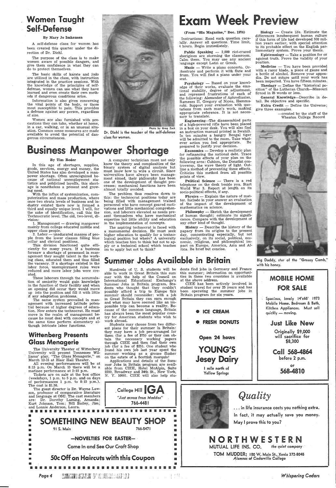## Women Taught Self-Defense

#### By Mary Jo Imhausen

A self-defense class for women · has been created this quarter under the direction of Dr. Diehl.

The purpose of the class is to make women aware of possible dangers, and give them confidence in what they can do to protect themselves.

The basic skills of karate and judo are utilized in the class, with instruction integrated in the practice sessions. With the knowledge of the principles of selfdefense, women can use what they have learned and even create their own methods if dangerous conditions arise.

Information is also given concerning the vital points of the body, or those most susceptible to pain. This provides <sup>a</sup>defense against any person, regardless of size.

1. Management - drawing manpower mainly from college educated middle and upper class people.

Women: are also furnished with precautions they can take, whether at home, in a car, walking, or in an unusual situation. Common sense measures are made available to avoid the potential of dangerous circumstances.

2. Labor - uneducated masses of peo<sup>p</sup>le from the lower classes filling blue collar and clerical positions.

#### By Tim Reder

In this age of shortages, supplies, goods, services, energy and money, the United States has also developed a manpower shortage. Often unrecognized because of national unemployment statistics and publicized layoffs, this shortage is nonetheless a present and growing need.

With the influx of systemization, computerization and mass production, where once two strata levels of business and in- .dustry existed there now is formed <sup>a</sup> third and equally unique level. I will, for the sake of identification, call this the Technocratic level. The old, two-level, division:

Public Speaking  $- 2,000$  riot-crazed aborigines are storming the classroom. Calm them. You may use any ancient <sup>J</sup>anguage except Latin or Greek.

Music - Write a piano concerto. Orchestrate and perform it with flute and drum. You will find a piano under your seat.

Psychology - Based on your knowledge of their works, evaluate the emotional stability, degree of adjustment, and repressed frustrations 'of each of the following: Alexander of Aphrodiasias, Rameses II, Gregory of Nicea, Hammurabi. Support your evaluation with quotations from each man's work, making appropriate reference. It is not necessary to translate.



Dr. Diehl is the teacher of the self-defense class for women.

## Business Manpower Shortage

A computer technician must not only know the theory and complexities of the binary system of digital analysis but must know how to wire a circuit. Since universities have always been management aimed, their philosophy has been one of the development of thought processes; mechanical functions have been almost totally avoided.

Economics - Develop a realistic plan for refinancing the national debt. Trace the possible effects of your plan on the following area: Cubism, the Donatist controversy, the wave theory of light. Outline a method of preventing these effects. Criticize this method from all possible points of view.

Political Science  $-$  There is a red telephone on the desk beside you. Start World War 3. Report at length on its socio-political effects, if any.

**Physics**  $-$  Explain the nature of matter. Include in your answer an evaluation of the impact of the development of mathematics on science.

 $Philosophy$  - Sketch the development of human thought; estimate its significance. Compare with the development of any other kind of thought.

 $History - Describe the history of the$ papacy from its origins to the presen<sup>t</sup> day, concentrating especially, but not exclusively, on its social, political, economic, religious, and philosophical impact on Europe, America, Asia and Africa. Be brief but concise.  $\sim$ 

The problem thus resolves down to this: the technocrat positions today are being filled with management trained personnel who have concept geared motivations and little mechanical comprehension, and laborers elevated as needs present themselves who have mechanical expertise but little ability and education in the implementation of concepts.

 $\text{Biology}$  - Create life. Estimate the differences insubsequent human culture if this form of life had developed 500 million years earlier, with special attention to its probable effect on the English parliamentary system. Prove your thesis.

Epistemology  $-$  Take a position for or against truth. Prove the validity of your position.

The aspiring technocrat is faced with <sup>a</sup>monumental decision. He must seek higher education to qualify for a tcehnological position but where? A university which teaches him to think but not to ap<sup>p</sup>ly or <sup>a</sup>technical school which teaches im to apply but not to think?

Medicine - You have been provided with a razor blade, a piece of gauze and a bottle of alcohol. Remove your appendix. Do not suture until your work has been inspected. You have fifteen minutes.

**Theology**  $-$  Define the "historical position" of the Lutheran Church-Missouri Synod in 25 words or less.

Extra Credit  $-$  Define the Universe; give three examples.

#### (From "His Magazine," Dec. 1974)

Instructions: Read each question carefully. Answer all questions. Time limit, 4 hours. Begin immediately.

All evening performances will be at 8: 15 p.m. On March 15 there will be <sup>a</sup> matinee performance at 2:15 p.m.

Engineering-The disassembled parts of a high-powered rifle have been placed in a box on your desk. You will also find an instruction manual printed in Swahili. In ten minutes a hungry Bengal tiger will be admitted to the room. Take what-<br>ever action you feel appropriate. Be ever action you feel appropriate. prepared to justify your decision.

Students may choose from two different plans for their summer in Britain: they may have a job pre-arranged for them (for a fee of \$75) or they can obtain the necessary working papers through CIEE and then find their own job (for a fee of \$25). One student who found his own job last year spent the summer working as a grouse flusher

> College Hill  $\mathsf{GA}$ *"Just* across *from Maddox"*  766-4481

1<u>1111</u> 1121<br>1111 1111 im) 1111<br>11111 1211<br>1211 11111

> 11111 11111

Spacious, lovely 14'x65' 1973 Mobile Home. Bedroom & Bath, Kitchen Appliances. Must sell quickly - moving.

... in life insurance costs you nothing extra. In fact, it may actually save you money. May I prove this to you?

NORTHWES MUTUAL LIFE INS. CO. *the quief company* 

General Knowledge-Describe in detail. Be objective and specific.

> -created by the staff of the Wheaton College Record



Summer Jobs Available in Britain and Big Daddy, star of the "Greasy Comb,"

This division functioned quite efficiently for many years. If a business foresaw a shortage of personnel in management they sought talent in the working class, educated them and thus filled the vacancy. If a shortage existed in the labor force, unemployment roles were reduced and more labor jobs were created.

These laborers through the accumulation of seniority would gain knowledge in the function of their facility and when an opening did occur they would move up into the position and fill it with little if any adaptation problems.

The same system prevailed in management with increased latitude potential because of higher degrees of education. Now enters the technocrat. He must move in the realm of management because he must deal with concepts and at the same time perform elementary although intricate labor functions.

## Wittenberg Presents Glass Menagerie

The University Theater of Wittenberg University will present Tennessee Williams' play, "The Glass Menagerie," on March 12-15 at Blair Hall Theater.

Tickets are on sale at the box office (weekdays, 1 p.m. to 5 p.m. and on days of performances 1 p.m. to 8:15 p.m.). The cost is \$1.50.

The guest director is Dr. Wayne Lawson, professor of comparative literature and language at OSU. The cast members are: Dr. Dorothy Laming, Amanda; Kurt Johnson, Tom; Bill Bailey, Jim; and Lonnie Anderson, Laura.

**I** 

able to work in Great Britain this sum mer with the help of the Council on International Educational Exchange's Summer Jobs in Britain program,. Students who thought that they couldn't possibly afford a trip to Europe this summer should reconsider: with a job in Great Britain they can earn enough and what may have seemed like an impossible trip can become a reality. Because of the common language, Britain has always been the most popular country for American students who wish to

work abroad.

## **Exam Week Prey**

• • • • • • • • • • • • • • • • E B B m B I I m B M M B I B B SOMETHING NEW BEAUTY SHOP 91 S. Main 766-5471

-NOVELTIES FOR EASTER-

**Come In and See Our Craft Shop** 

Hundreds of U. S. students will be dents find jobs in Germany and France this summer; information on opportunities in these two countries is available at the above address.

on the estate of a Scottish marquis! Applications and details of the Summer Jobs in Britain program are available from CIEE, Hotel McAlpin, Suite 2200, Broadway and 34th St., New York, N. Y. 10001. CIEE will also help stu-

> 1111 Ill Ill 1 11111 Ill Ill 11111

11111

 $\mathcal{L}_{\text{max}} = \mathcal{L}_{\text{max}} = \mathcal{L}_{\text{max}} = \mathcal{L}_{\text{max}} = \mathcal{L}_{\text{max}} = \mathcal{L}_{\text{max}} = \mathcal{L}_{\text{max}} = \mathcal{L}_{\text{max}}$ 

11111 111111 • • • • • • • • • • • • • • • • • • • • • • • • • • • • • • •

50c Off on Haircuts with this Coupon

*Page 4* \FIB]" ''&1 ·1 ·,F'11 "l' ,'!il " ' <sup>r</sup>*~l;1.jil]JJ1,Jj1ifJ1:* :J 1 !L · 1) : .. dl

CIEE has been actively involved in student travel for over 25 years and has been operating the summer jobs in Britain program for six years.



Jesey Dairy

I mile north of Yellow Springs

## MOBILE HOME FOR SALE

Just Like New Originally \$9,000

will sacrifice for \$8,300

Call 568-4864 before 2 p.m.

or 568-4810



TOM MUDDER; 100 w. Main St., Xenia 372-8045 *Alumnus of Cedarville College* 

*Whispering Cedars*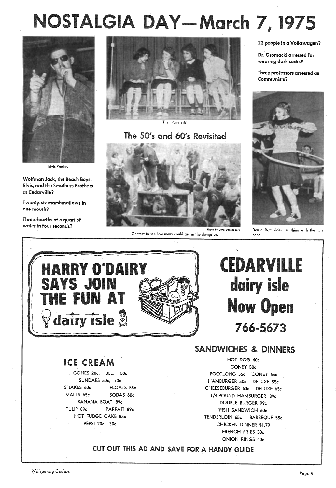# IA DAY—March 7, 19

..

The "Ponytails"

## The 50's and 60's Revisited

22 people in a Volkswagen?

Three professors arrested as Communists?

Dr. Gromacki arrested for wearing dark socks?

Wolfman Jack, the Beach Boys, Elvis, and the Smothers Brothers at Cedarville?

Three-fourths of a quart of water in four seconds?





Elvis Presley



Donna Roth does her thing with the hula hoop.

Twenty-six marshmallows in one mouth?

# CEDARVILLE dairy isle Now Open 766-5673



Contest to see how many could get in the dumpster.

## ICE CREAM

CONES 20c, 35c, 50c SUNDAES 50c, 70c SHAKES 60c FLOATS 55c MALTS 65c SODAS 60c BANANA BOAT -89c TULIP 89c PARFAIT 89c HOT FUDGE CAKE 85c PEPSI 20c, 30c



SANDWICHES &, DINNERS HOT DOG 40c CONEY 50c FOOTLONG 55c CONEY 65c HAMBURGER 50c DELUXE 55c CHEESEBURGER 60c DELUXE 65c I /4 POUND HAMBURGER 89c DOUBLE BURGER 99c "FISH SANDWICH 60c TENDERLOIN 65c BARBEQUE 55c CHICKEN DINNER \$1.79 FRENCH FRIES 30c ONION RINGS 40c

## CUT OUT THIS AD AND SAVE FOR A HANDY GUIDE

*Y(hispering Cedars Page 5*